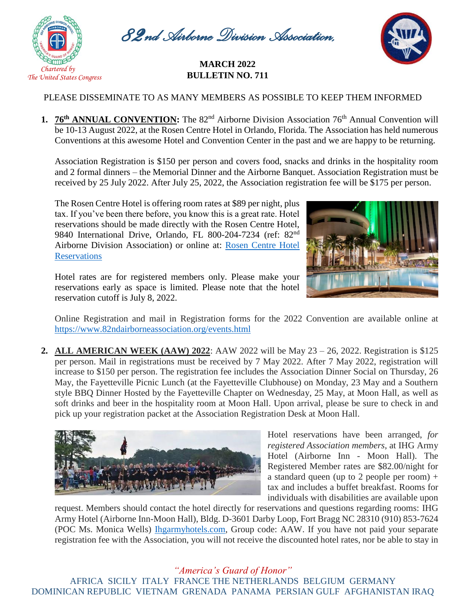

*82nd Airborne Division Association,* 

## *Inc* **MARCH <sup>2022</sup> BULLETIN NO. 711**



## PLEASE DISSEMINATE TO AS MANY MEMBERS AS POSSIBLE TO KEEP THEM INFORMED

**1. 76<sup>th</sup> ANNUAL CONVENTION:** The 82<sup>nd</sup> Airborne Division Association 76<sup>th</sup> Annual Convention will be 10-13 August 2022, at the Rosen Centre Hotel in Orlando, Florida. The Association has held numerous Conventions at this awesome Hotel and Convention Center in the past and we are happy to be returning.

Association Registration is \$150 per person and covers food, snacks and drinks in the hospitality room and 2 formal dinners – the Memorial Dinner and the Airborne Banquet. Association Registration must be received by 25 July 2022. After July 25, 2022, the Association registration fee will be \$175 per person.

The Rosen Centre Hotel is offering room rates at \$89 per night, plus tax. If you've been there before, you know this is a great rate. Hotel reservations should be made directly with the Rosen Centre Hotel, 9840 International Drive, Orlando, FL 800-204-7234 (ref: 82nd Airborne Division Association) or online at: [Rosen Centre Hotel](file://///192.168.0.3/Public/07.%20Association%20Publications/National%20Bulletins/2021%20National%20Bulletin/12.%20Nov-Dec%202021%20National%20Bulletin/Rosen%20Centre%20Hotel%20Reservations)  **[Reservations](file://///192.168.0.3/Public/07.%20Association%20Publications/National%20Bulletins/2021%20National%20Bulletin/12.%20Nov-Dec%202021%20National%20Bulletin/Rosen%20Centre%20Hotel%20Reservations)** 



Hotel rates are for registered members only. Please make your reservations early as space is limited. Please note that the hotel reservation cutoff is July 8, 2022.

Online Registration and mail in Registration forms for the 2022 Convention are available online at https://www.82ndairborneassociation.org/events.html

**2. ALL AMERICAN WEEK (AAW) 2022**: AAW 2022 will be May 23 – 26, 2022. Registration is \$125 per person. Mail in registrations must be received by 7 May 2022. After 7 May 2022, registration will increase to \$150 per person. The registration fee includes the Association Dinner Social on Thursday, 26 May, the Fayetteville Picnic Lunch (at the Fayetteville Clubhouse) on Monday, 23 May and a Southern style BBQ Dinner Hosted by the Fayetteville Chapter on Wednesday, 25 May, at Moon Hall, as well as soft drinks and beer in the hospitality room at Moon Hall. Upon arrival, please be sure to check in and pick up your registration packet at the Association Registration Desk at Moon Hall.



Hotel reservations have been arranged, *for registered Association members*, at IHG Army Hotel (Airborne Inn - Moon Hall). The Registered Member rates are \$82.00/night for a standard queen (up to 2 people per room)  $+$ tax and includes a buffet breakfast. Rooms for individuals with disabilities are available upon

request. Members should contact the hotel directly for reservations and questions regarding rooms: IHG Army Hotel (Airborne Inn-Moon Hall), Bldg. D-3601 Darby Loop, Fort Bragg NC 28310 (910) 853-7624 (POC Ms. Monica Wells) [Ihgarmyhotels.com,](http://www.ihgarmyhotels.com/) Group code: AAW. If you have not paid your separate registration fee with the Association, you will not receive the discounted hotel rates, nor be able to stay in

*"America's Guard of Honor"* AFRICA SICILY ITALY FRANCE THE NETHERLANDS BELGIUM GERMANY DOMINICAN REPUBLIC VIETNAM GRENADA PANAMA PERSIAN GULF AFGHANISTAN IRAQ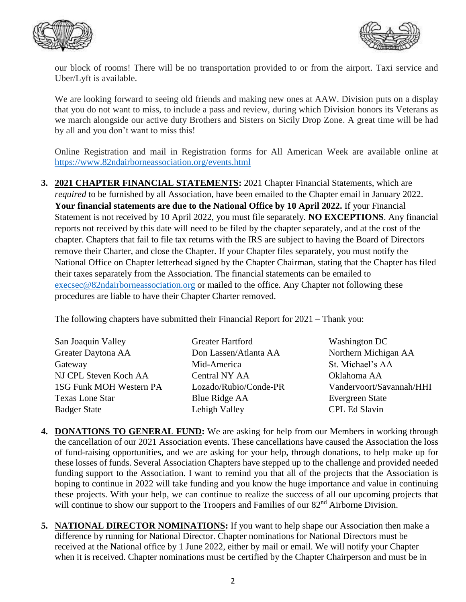



our block of rooms! There will be no transportation provided to or from the airport. Taxi service and Uber/Lyft is available.

We are looking forward to seeing old friends and making new ones at AAW. Division puts on a display that you do not want to miss, to include a pass and review, during which Division honors its Veterans as we march alongside our active duty Brothers and Sisters on Sicily Drop Zone. A great time will be had by all and you don't want to miss this!

Online Registration and mail in Registration forms for All American Week are available online at <https://www.82ndairborneassociation.org/events.html>

**3. 2021 CHAPTER FINANCIAL STATEMENTS:** 2021 Chapter Financial Statements, which are *required* to be furnished by all Association, have been emailed to the Chapter email in January 2022. **Your financial statements are due to the National Office by 10 April 2022.** If your Financial Statement is not received by 10 April 2022, you must file separately. **NO EXCEPTIONS**. Any financial reports not received by this date will need to be filed by the chapter separately, and at the cost of the chapter. Chapters that fail to file tax returns with the IRS are subject to having the Board of Directors remove their Charter, and close the Chapter. If your Chapter files separately, you must notify the National Office on Chapter letterhead signed by the Chapter Chairman, stating that the Chapter has filed their taxes separately from the Association. The financial statements can be emailed to [execsec@82ndairborneassociation.org](mailto:execsec@82ndairborneassociation.org) or mailed to the office. Any Chapter not following these procedures are liable to have their Chapter Charter removed.

The following chapters have submitted their Financial Report for 2021 – Thank you:

| San Joaquin Valley      | Greater Hartford      | <b>Washington DC</b>     |
|-------------------------|-----------------------|--------------------------|
| Greater Daytona AA      | Don Lassen/Atlanta AA | Northern Michigan AA     |
| Gateway                 | Mid-America           | St. Michael's AA         |
| NJ CPL Steven Koch AA   | Central NY AA         | Oklahoma AA              |
| 1SG Funk MOH Western PA | Lozado/Rubio/Conde-PR | Vandervoort/Savannah/HHI |
| <b>Texas Lone Star</b>  | Blue Ridge AA         | <b>Evergreen State</b>   |
| <b>Badger State</b>     | Lehigh Valley         | <b>CPL Ed Slavin</b>     |

- **4. DONATIONS TO GENERAL FUND:** We are asking for help from our Members in working through the cancellation of our 2021 Association events. These cancellations have caused the Association the loss of fund-raising opportunities, and we are asking for your help, through donations, to help make up for these losses of funds. Several Association Chapters have stepped up to the challenge and provided needed funding support to the Association. I want to remind you that all of the projects that the Association is hoping to continue in 2022 will take funding and you know the huge importance and value in continuing these projects. With your help, we can continue to realize the success of all our upcoming projects that will continue to show our support to the Troopers and Families of our 82<sup>nd</sup> Airborne Division.
- **5. NATIONAL DIRECTOR NOMINATIONS:** If you want to help shape our Association then make a difference by running for National Director. Chapter nominations for National Directors must be received at the National office by 1 June 2022, either by mail or email. We will notify your Chapter when it is received. Chapter nominations must be certified by the Chapter Chairperson and must be in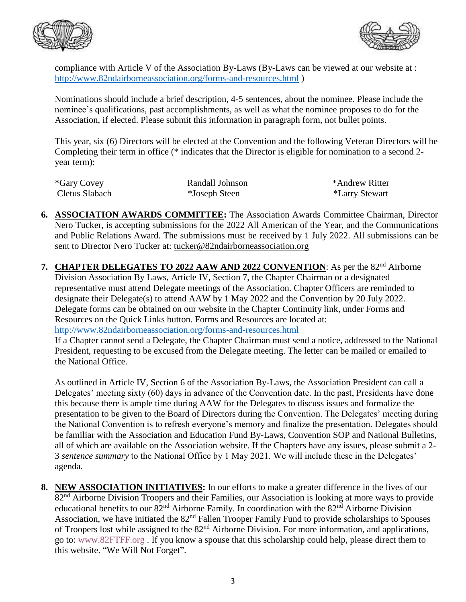



compliance with Article V of the Association By-Laws (By-Laws can be viewed at our website at : <http://www.82ndairborneassociation.org/forms-and-resources.html> )

Nominations should include a brief description, 4-5 sentences, about the nominee. Please include the nominee's qualifications, past accomplishments, as well as what the nominee proposes to do for the Association, if elected. Please submit this information in paragraph form, not bullet points.

This year, six (6) Directors will be elected at the Convention and the following Veteran Directors will be Completing their term in office (\* indicates that the Director is eligible for nomination to a second 2 year term):

| *Gary Covey    | Randall Johnson | *Andrew Ritter |
|----------------|-----------------|----------------|
| Cletus Slabach | *Joseph Steen   | *Larry Stewart |

- **6. ASSOCIATION AWARDS COMMITTEE:** The Association Awards Committee Chairman, Director Nero Tucker, is accepting submissions for the 2022 All American of the Year, and the Communications and Public Relations Award. The submissions must be received by 1 July 2022. All submissions can be sent to Director Nero Tucker at: [tucker@82ndairborneassociation.org](mailto:tucker@82ndairborneassociation.org)
- **7. CHAPTER DELEGATES TO 2022 AAW AND 2022 CONVENTION**: As per the 82nd Airborne Division Association By Laws, Article IV, Section 7, the Chapter Chairman or a designated representative must attend Delegate meetings of the Association. Chapter Officers are reminded to designate their Delegate(s) to attend AAW by 1 May 2022 and the Convention by 20 July 2022. Delegate forms can be obtained on our website in the Chapter Continuity link, under Forms and Resources on the Quick Links button. Forms and Resources are located at: <http://www.82ndairborneassociation.org/forms-and-resources.html>

If a Chapter cannot send a Delegate, the Chapter Chairman must send a notice, addressed to the National President, requesting to be excused from the Delegate meeting. The letter can be mailed or emailed to the National Office.

As outlined in Article IV, Section 6 of the Association By-Laws, the Association President can call a Delegates' meeting sixty (60) days in advance of the Convention date. In the past, Presidents have done this because there is ample time during AAW for the Delegates to discuss issues and formalize the presentation to be given to the Board of Directors during the Convention. The Delegates' meeting during the National Convention is to refresh everyone's memory and finalize the presentation. Delegates should be familiar with the Association and Education Fund By-Laws, Convention SOP and National Bulletins, all of which are available on the Association website. If the Chapters have any issues, please submit a 2- 3 *sentence summary* to the National Office by 1 May 2021. We will include these in the Delegates' agenda.

**8. NEW ASSOCIATION INITIATIVES:** In our efforts to make a greater difference in the lives of our 82<sup>nd</sup> Airborne Division Troopers and their Families, our Association is looking at more ways to provide educational benefits to our 82<sup>nd</sup> Airborne Family. In coordination with the 82<sup>nd</sup> Airborne Division Association, we have initiated the 82<sup>nd</sup> Fallen Trooper Family Fund to provide scholarships to Spouses of Troopers lost while assigned to the 82<sup>nd</sup> Airborne Division. For more information, and applications, go to: [www.82FTFF.org](http://www.82ftff.org/) . If you know a spouse that this scholarship could help, please direct them to this website. "We Will Not Forget".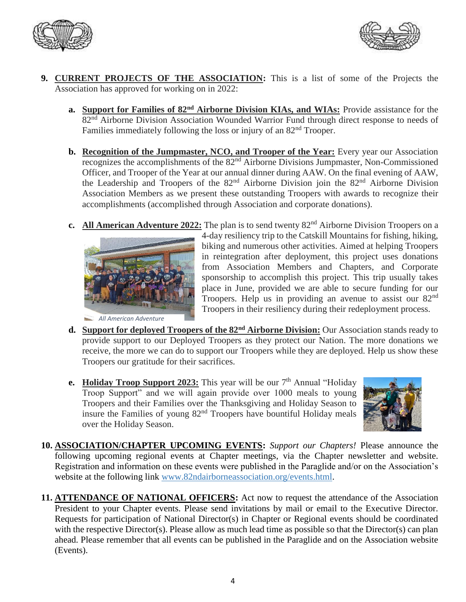



- **9. CURRENT PROJECTS OF THE ASSOCIATION:** This is a list of some of the Projects the Association has approved for working on in 2022:
	- **a. Support for Families of 82nd Airborne Division KIAs, and WIAs:** Provide assistance for the 82<sup>nd</sup> Airborne Division Association Wounded Warrior Fund through direct response to needs of Families immediately following the loss or injury of an 82<sup>nd</sup> Trooper.
	- **b. Recognition of the Jumpmaster, NCO, and Trooper of the Year:** Every year our Association recognizes the accomplishments of the 82<sup>nd</sup> Airborne Divisions Jumpmaster, Non-Commissioned Officer, and Trooper of the Year at our annual dinner during AAW. On the final evening of AAW, the Leadership and Troopers of the  $82<sup>nd</sup>$  Airborne Division join the  $82<sup>nd</sup>$  Airborne Division Association Members as we present these outstanding Troopers with awards to recognize their accomplishments (accomplished through Association and corporate donations).
	- **c.** All American Adventure 2022: The plan is to send twenty 82<sup>nd</sup> Airborne Division Troopers on a



 *All American Adventure*

4-day resiliency trip to the Catskill Mountains for fishing, hiking, biking and numerous other activities. Aimed at helping Troopers in reintegration after deployment, this project uses donations from Association Members and Chapters, and Corporate sponsorship to accomplish this project. This trip usually takes place in June, provided we are able to secure funding for our Troopers. Help us in providing an avenue to assist our 82<sup>nd</sup> Troopers in their resiliency during their redeployment process.

- **d. Support for deployed Troopers of the 82nd Airborne Division:** Our Association stands ready to provide support to our Deployed Troopers as they protect our Nation. The more donations we receive, the more we can do to support our Troopers while they are deployed. Help us show these Troopers our gratitude for their sacrifices.
- **e.** Holiday Troop Support 2023: This year will be our 7<sup>th</sup> Annual "Holiday Troop Support" and we will again provide over 1000 meals to young Troopers and their Families over the Thanksgiving and Holiday Season to insure the Families of young 82nd Troopers have bountiful Holiday meals over the Holiday Season.



**10. ASSOCIATION/CHAPTER UPCOMING EVENTS:** *Support our Chapters!* Please announce the following upcoming regional events at Chapter meetings, via the Chapter newsletter and website. Registration and information on these events were published in the Paraglide and/or on the Association's website at the following link [www.82ndairborneassociation.org/events.html.](http://www.82ndairborneassociation.org/events.html)

**11. ATTENDANCE OF NATIONAL OFFICERS:** Act now to request the attendance of the Association President to your Chapter events. Please send invitations by mail or email to the Executive Director. Requests for participation of National Director(s) in Chapter or Regional events should be coordinated with the respective Director(s). Please allow as much lead time as possible so that the Director(s) can plan ahead. Please remember that all events can be published in the Paraglide and on the Association website (Events).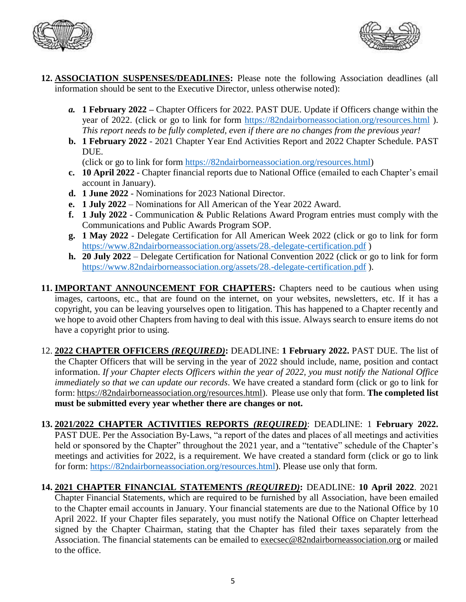



- **12. ASSOCIATION SUSPENSES/DEADLINES:** Please note the following Association deadlines (all information should be sent to the Executive Director, unless otherwise noted):
	- *a.* **1 February 2022 –** Chapter Officers for 2022. PAST DUE. Update if Officers change within the year of 2022. (click or go to link for form <https://82ndairborneassociation.org/resources.html>). *This report needs to be fully completed, even if there are no changes from the previous year!*
	- **b. 1 February 2022** 2021 Chapter Year End Activities Report and 2022 Chapter Schedule. PAST DUE.

(click or go to link for form [https://82ndairborneassociation.org/resources.html\)](https://82ndairborneassociation.org/resources.html)

- **c. 10 April 2022** Chapter financial reports due to National Office (emailed to each Chapter's email account in January).
- **d. 1 June 2022** Nominations for 2023 National Director.
- **e. 1 July 2022** Nominations for All American of the Year 2022 Award.
- **f. 1 July 2022** Communication & Public Relations Award Program entries must comply with the Communications and Public Awards Program SOP.
- **g. 1 May 2022** Delegate Certification for All American Week 2022 (click or go to link for form <https://www.82ndairborneassociation.org/assets/28.-delegate-certification.pdf> )
- **h. 20 July 2022** Delegate Certification for National Convention 2022 (click or go to link for form <https://www.82ndairborneassociation.org/assets/28.-delegate-certification.pdf> ).
- **11. IMPORTANT ANNOUNCEMENT FOR CHAPTERS:** Chapters need to be cautious when using images, cartoons, etc., that are found on the internet, on your websites, newsletters, etc. If it has a copyright, you can be leaving yourselves open to litigation. This has happened to a Chapter recently and we hope to avoid other Chapters from having to deal with this issue. Always search to ensure items do not have a copyright prior to using.
- 12. **2022 CHAPTER OFFICERS** *(REQUIRED)***:** DEADLINE: **1 February 2022.** PAST DUE. The list of the Chapter Officers that will be serving in the year of 2022 should include, name, position and contact information. *If your Chapter elects Officers within the year of 2022, you must notify the National Office immediately so that we can update our records*. We have created a standard form (click or go to link for form: [https://82ndairborneassociation.org/resources.html\)](https://82ndairborneassociation.org/resources.html). Please use only that form. **The completed list must be submitted every year whether there are changes or not.**
- **13. 2021/2022 CHAPTER ACTIVITIES REPORTS** *(REQUIRED)*: DEADLINE: 1 **February 2022.** PAST DUE. Per the Association By-Laws, "a report of the dates and places of all meetings and activities held or sponsored by the Chapter" throughout the 2021 year, and a "tentative" schedule of the Chapter's meetings and activities for 2022, is a requirement. We have created a standard form (click or go to link for form: [https://82ndairborneassociation.org/resources.html\)](https://82ndairborneassociation.org/resources.html). Please use only that form.
- **14. 2021 CHAPTER FINANCIAL STATEMENTS** *(REQUIRED)***:** DEADLINE: **10 April 2022**. 2021 Chapter Financial Statements, which are required to be furnished by all Association, have been emailed to the Chapter email accounts in January. Your financial statements are due to the National Office by 10 April 2022. If your Chapter files separately, you must notify the National Office on Chapter letterhead signed by the Chapter Chairman, stating that the Chapter has filed their taxes separately from the Association. The financial statements can be emailed to [execsec@82ndairborneassociation.org](mailto:execsec@82ndairborneassociation.org) or mailed to the office.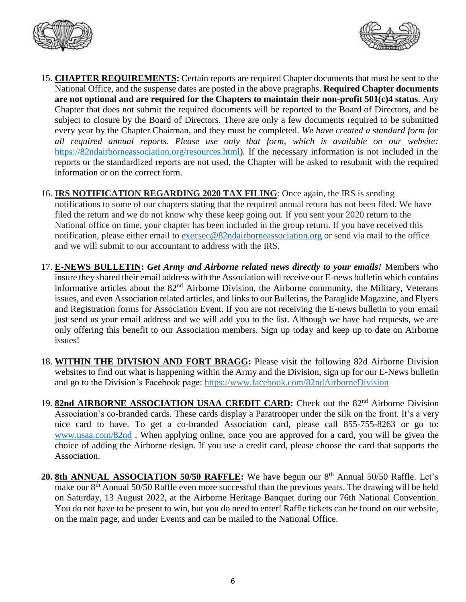



- 15. **CHAPTER REQUIREMENTS:** Certain reports are required Chapter documents that must be sent to the National Office, and the suspense dates are posted in the above pragraphs. **Required Chapter documents are not optional and are required for the Chapters to maintain their non-profit 501(c)4 status**. Any Chapter that does not submit the required documents will be reported to the Board of Directors, and be subject to closure by the Board of Directors. There are only a few documents required to be submitted every year by the Chapter Chairman, and they must be completed. *We have created a standard form for all required annual reports. Please use only that form, which is available on our website:* [https://82ndairborneassociation.org/resources.html\)](https://82ndairborneassociation.org/resources.html). If the necessary information is not included in the reports or the standardized reports are not used, the Chapter will be asked to resubmit with the required information or on the correct form.
- 16. **IRS NOTIFICATION REGARDING 2020 TAX FILING**: Once again, the IRS is sending notifications to some of our chapters stating that the required annual return has not been filed. We have filed the return and we do not know why these keep going out. If you sent your 2020 return to the National office on time, your chapter has been included in the group return. If you have received this notification, please either email to [execsec@82ndairborneassociation.org](mailto:execsec@82ndairborneassociation.org) or send via mail to the office and we will submit to our accountant to address with the IRS.
- 17. **E-NEWS BULLETIN:** *Get Army and Airborne related news directly to your emails!* Members who insure they shared their email address with the Association will receive our E-news bulletin which contains informative articles about the 82nd Airborne Division, the Airborne community, the Military, Veterans issues, and even Association related articles, and links to our Bulletins, the Paraglide Magazine, and Flyers and Registration forms for Association Event. If you are not receiving the E-news bulletin to your email just send us your email address and we will add you to the list. Although we have had requests, we are only offering this benefit to our Association members. Sign up today and keep up to date on Airborne issues!
- 18. **WITHIN THE DIVISION AND FORT BRAGG:** Please visit the following 82d Airborne Division websites to find out what is happening within the Army and the Division, sign up for our E-News bulletin and go to the Division's Facebook page: <https://www.facebook.com/82ndAirborneDivision>
- 19. 82nd AIRBORNE ASSOCIATION USAA CREDIT CARD: Check out the 82<sup>nd</sup> Airborne Division Association's co-branded cards. These cards display a Paratrooper under the silk on the front. It's a very nice card to have. To get a co-branded Association card, please call 855-755-8263 or go to: [www.usaa.com/82nd](http://www.usaa.com/82nd) . When applying online, once you are approved for a card, you will be given the choice of adding the Airborne design. If you use a credit card, please choose the card that supports the Association.
- 20. 8th ANNUAL ASSOCIATION 50/50 RAFFLE: We have begun our 8<sup>th</sup> Annual 50/50 Raffle. Let's make our 8<sup>th</sup> Annual 50/50 Raffle even more successful than the previous years. The drawing will be held on Saturday, 13 August 2022, at the Airborne Heritage Banquet during our 76th National Convention. You do not have to be present to win, but you do need to enter! Raffle tickets can be found on our website, on the main page, and under Events and can be mailed to the National Office.